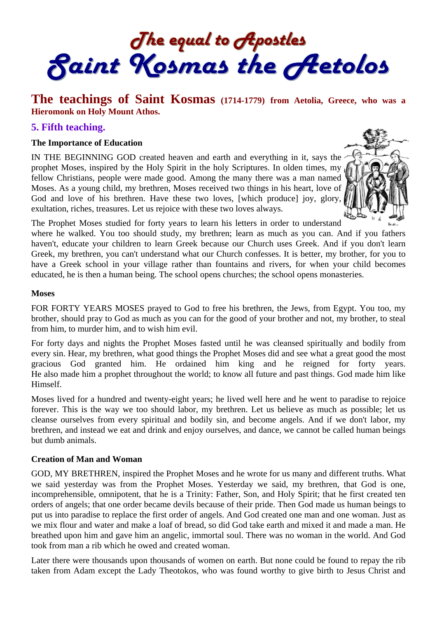The equal to Apostles<br>Saint Kosmas the Aetolos

# **The teachings of Saint Kosmas (1714-1779) from Aetolia, Greece, who was a Hieromonk on Holy Mount Athos.**

### **5. Fifth teaching.**

#### **The Importance of Education**

IN THE BEGINNING GOD created heaven and earth and everything in it, says the prophet Moses, inspired by the Holy Spirit in the holy Scriptures. In olden times, my fellow Christians, people were made good. Among the many there was a man named Moses. As a young child, my brethren, Moses received two things in his heart, love of God and love of his brethren. Have these two loves, [which produce] joy, glory, exultation, riches, treasures. Let us rejoice with these two loves always.



The Prophet Moses studied for forty years to learn his letters in order to understand

where he walked. You too should study, my brethren; learn as much as you can. And if you fathers haven't, educate your children to learn Greek because our Church uses Greek. And if you don't learn Greek, my brethren, you can't understand what our Church confesses. It is better, my brother, for you to have a Greek school in your village rather than fountains and rivers, for when your child becomes educated, he is then a human being. The school opens churches; the school opens monasteries.

#### **Moses**

FOR FORTY YEARS MOSES prayed to God to free his brethren, the Jews, from Egypt. You too, my brother, should pray to God as much as you can for the good of your brother and not, my brother, to steal from him, to murder him, and to wish him evil.

For forty days and nights the Prophet Moses fasted until he was cleansed spiritually and bodily from every sin. Hear, my brethren, what good things the Prophet Moses did and see what a great good the most gracious God granted him. He ordained him king and he reigned for forty years. He also made him a prophet throughout the world; to know all future and past things. God made him like Himself.

Moses lived for a hundred and twenty-eight years; he lived well here and he went to paradise to rejoice forever. This is the way we too should labor, my brethren. Let us believe as much as possible; let us cleanse ourselves from every spiritual and bodily sin, and become angels. And if we don't labor, my brethren, and instead we eat and drink and enjoy ourselves, and dance, we cannot be called human beings but dumb animals.

#### **Creation of Man and Woman**

GOD, MY BRETHREN, inspired the Prophet Moses and he wrote for us many and different truths. What we said yesterday was from the Prophet Moses. Yesterday we said, my brethren, that God is one, incomprehensible, omnipotent, that he is a Trinity: Father, Son, and Holy Spirit; that he first created ten orders of angels; that one order became devils because of their pride. Then God made us human beings to put us into paradise to replace the first order of angels. And God created one man and one woman. Just as we mix flour and water and make a loaf of bread, so did God take earth and mixed it and made a man. He breathed upon him and gave him an angelic, immortal soul. There was no woman in the world. And God took from man a rib which he owed and created woman.

Later there were thousands upon thousands of women on earth. But none could be found to repay the rib taken from Adam except the Lady Theotokos, who was found worthy to give birth to Jesus Christ and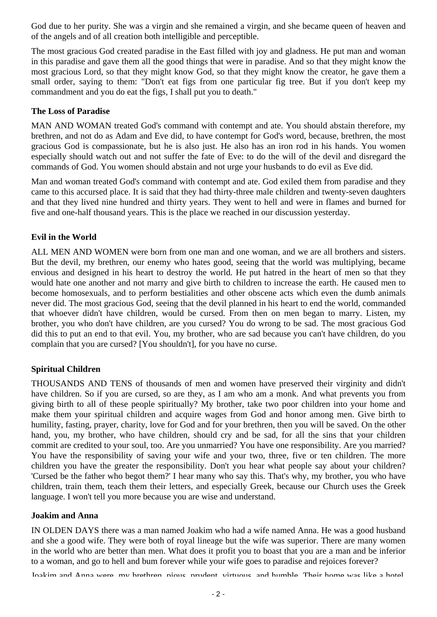God due to her purity. She was a virgin and she remained a virgin, and she became queen of heaven and of the angels and of all creation both intelligible and perceptible.

The most gracious God created paradise in the East filled with joy and gladness. He put man and woman in this paradise and gave them all the good things that were in paradise. And so that they might know the most gracious Lord, so that they might know God, so that they might know the creator, he gave them a small order, saying to them: "Don't eat figs from one particular fig tree. But if you don't keep my commandment and you do eat the figs, I shall put you to death."

#### **The Loss of Paradise**

MAN AND WOMAN treated God's command with contempt and ate. You should abstain therefore, my brethren, and not do as Adam and Eve did, to have contempt for God's word, because, brethren, the most gracious God is compassionate, but he is also just. He also has an iron rod in his hands. You women especially should watch out and not suffer the fate of Eve: to do the will of the devil and disregard the commands of God. You women should abstain and not urge your husbands to do evil as Eve did.

Man and woman treated God's command with contempt and ate. God exiled them from paradise and they came to this accursed place. It is said that they had thirty-three male children and twenty-seven daughters and that they lived nine hundred and thirty years. They went to hell and were in flames and burned for five and one-half thousand years. This is the place we reached in our discussion yesterday.

### **Evil in the World**

ALL MEN AND WOMEN were born from one man and one woman, and we are all brothers and sisters. But the devil, my brethren, our enemy who hates good, seeing that the world was multiplying, became envious and designed in his heart to destroy the world. He put hatred in the heart of men so that they would hate one another and not marry and give birth to children to increase the earth. He caused men to become homosexuals, and to perform bestialities and other obscene acts which even the dumb animals never did. The most gracious God, seeing that the devil planned in his heart to end the world, commanded that whoever didn't have children, would be cursed. From then on men began to marry. Listen, my brother, you who don't have children, are you cursed? You do wrong to be sad. The most gracious God did this to put an end to that evil. You, my brother, who are sad because you can't have children, do you complain that you are cursed? [You shouldn't], for you have no curse.

### **Spiritual Children**

THOUSANDS AND TENS of thousands of men and women have preserved their virginity and didn't have children. So if you are cursed, so are they, as I am who am a monk. And what prevents you from giving birth to all of these people spiritually? My brother, take two poor children into your home and make them your spiritual children and acquire wages from God and honor among men. Give birth to humility, fasting, prayer, charity, love for God and for your brethren, then you will be saved. On the other hand, you, my brother, who have children, should cry and be sad, for all the sins that your children commit are credited to your soul, too. Are you unmarried? You have one responsibility. Are you married? You have the responsibility of saving your wife and your two, three, five or ten children. The more children you have the greater the responsibility. Don't you hear what people say about your children? 'Cursed be the father who begot them?' I hear many who say this. That's why, my brother, you who have children, train them, teach them their letters, and especially Greek, because our Church uses the Greek language. I won't tell you more because you are wise and understand.

#### **Joakim and Anna**

IN OLDEN DAYS there was a man named Joakim who had a wife named Anna. He was a good husband and she a good wife. They were both of royal lineage but the wife was superior. There are many women in the world who are better than men. What does it profit you to boast that you are a man and be inferior to a woman, and go to hell and bum forever while your wife goes to paradise and rejoices forever?

Joakim and Anna were my brethren pious prudent virtuous and humble Their home was like a hotel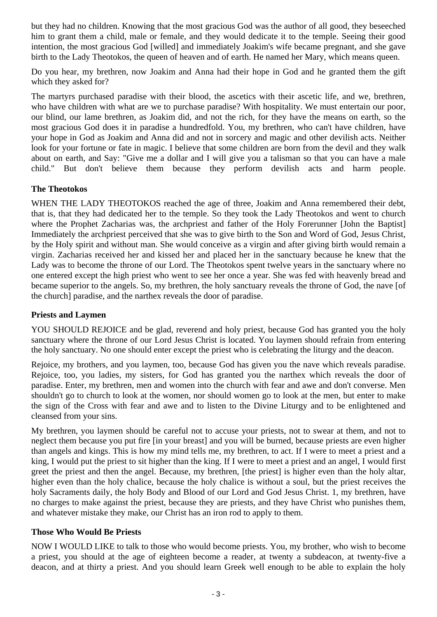but they had no children. Knowing that the most gracious God was the author of all good, they beseeched him to grant them a child, male or female, and they would dedicate it to the temple. Seeing their good intention, the most gracious God [willed] and immediately Joakim's wife became pregnant, and she gave birth to the Lady Theotokos, the queen of heaven and of earth. He named her Mary, which means queen.

Do you hear, my brethren, now Joakim and Anna had their hope in God and he granted them the gift which they asked for?

The martyrs purchased paradise with their blood, the ascetics with their ascetic life, and we, brethren, who have children with what are we to purchase paradise? With hospitality. We must entertain our poor, our blind, our lame brethren, as Joakim did, and not the rich, for they have the means on earth, so the most gracious God does it in paradise a hundredfold. You, my brethren, who can't have children, have your hope in God as Joakim and Anna did and not in sorcery and magic and other devilish acts. Neither look for your fortune or fate in magic. I believe that some children are born from the devil and they walk about on earth, and Say: "Give me a dollar and I will give you a talisman so that you can have a male child." But don't believe them because they perform devilish acts and harm people.

### **The Theotokos**

WHEN THE LADY THEOTOKOS reached the age of three, Joakim and Anna remembered their debt, that is, that they had dedicated her to the temple. So they took the Lady Theotokos and went to church where the Prophet Zacharias was, the archpriest and father of the Holy Forerunner [John the Baptist] Immediately the archpriest perceived that she was to give birth to the Son and Word of God, Jesus Christ, by the Holy spirit and without man. She would conceive as a virgin and after giving birth would remain a virgin. Zacharias received her and kissed her and placed her in the sanctuary because he knew that the Lady was to become the throne of our Lord. The Theotokos spent twelve years in the sanctuary where no one entered except the high priest who went to see her once a year. She was fed with heavenly bread and became superior to the angels. So, my brethren, the holy sanctuary reveals the throne of God, the nave [of the church] paradise, and the narthex reveals the door of paradise.

### **Priests and Laymen**

YOU SHOULD REJOICE and be glad, reverend and holy priest, because God has granted you the holy sanctuary where the throne of our Lord Jesus Christ is located. You laymen should refrain from entering the holy sanctuary. No one should enter except the priest who is celebrating the liturgy and the deacon.

Rejoice, my brothers, and you laymen, too, because God has given you the nave which reveals paradise. Rejoice, too, you ladies, my sisters, for God has granted you the narthex which reveals the door of paradise. Enter, my brethren, men and women into the church with fear and awe and don't converse. Men shouldn't go to church to look at the women, nor should women go to look at the men, but enter to make the sign of the Cross with fear and awe and to listen to the Divine Liturgy and to be enlightened and cleansed from your sins.

My brethren, you laymen should be careful not to accuse your priests, not to swear at them, and not to neglect them because you put fire [in your breast] and you will be burned, because priests are even higher than angels and kings. This is how my mind tells me, my brethren, to act. If I were to meet a priest and a king, I would put the priest to sit higher than the king. If I were to meet a priest and an angel, I would first greet the priest and then the angel. Because, my brethren, [the priest] is higher even than the holy altar, higher even than the holy chalice, because the holy chalice is without a soul, but the priest receives the holy Sacraments daily, the holy Body and Blood of our Lord and God Jesus Christ. 1, my brethren, have no charges to make against the priest, because they are priests, and they have Christ who punishes them, and whatever mistake they make, our Christ has an iron rod to apply to them.

### **Those Who Would Be Priests**

NOW I WOULD LIKE to talk to those who would become priests. You, my brother, who wish to become a priest, you should at the age of eighteen become a reader, at twenty a subdeacon, at twenty-five a deacon, and at thirty a priest. And you should learn Greek well enough to be able to explain the holy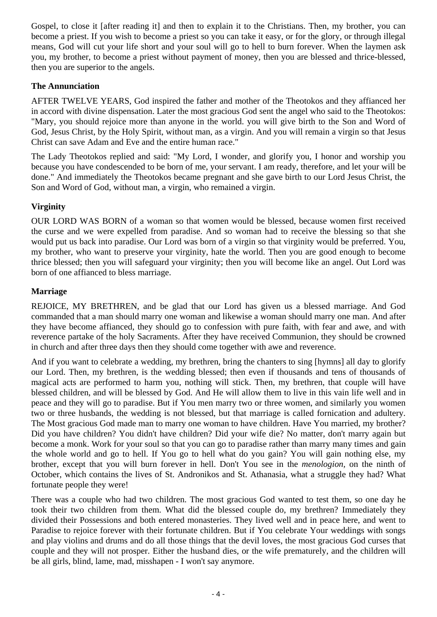Gospel, to close it [after reading it] and then to explain it to the Christians. Then, my brother, you can become a priest. If you wish to become a priest so you can take it easy, or for the glory, or through illegal means, God will cut your life short and your soul will go to hell to burn forever. When the laymen ask you, my brother, to become a priest without payment of money, then you are blessed and thrice-blessed, then you are superior to the angels.

## **The Annunciation**

AFTER TWELVE YEARS, God inspired the father and mother of the Theotokos and they affianced her in accord with divine dispensation. Later the most gracious God sent the angel who said to the Theotokos: "Mary, you should rejoice more than anyone in the world. you will give birth to the Son and Word of God, Jesus Christ, by the Holy Spirit, without man, as a virgin. And you will remain a virgin so that Jesus Christ can save Adam and Eve and the entire human race."

The Lady Theotokos replied and said: "My Lord, I wonder, and glorify you, I honor and worship you because you have condescended to be born of me, your servant. I am ready, therefore, and let your will be done." And immediately the Theotokos became pregnant and she gave birth to our Lord Jesus Christ, the Son and Word of God, without man, a virgin, who remained a virgin.

# **Virginity**

OUR LORD WAS BORN of a woman so that women would be blessed, because women first received the curse and we were expelled from paradise. And so woman had to receive the blessing so that she would put us back into paradise. Our Lord was born of a virgin so that virginity would be preferred. You, my brother, who want to preserve your virginity, hate the world. Then you are good enough to become thrice blessed; then you will safeguard your virginity; then you will become like an angel. Out Lord was born of one affianced to bless marriage.

## **Marriage**

REJOICE, MY BRETHREN, and be glad that our Lord has given us a blessed marriage. And God commanded that a man should marry one woman and likewise a woman should marry one man. And after they have become affianced, they should go to confession with pure faith, with fear and awe, and with reverence partake of the holy Sacraments. After they have received Communion, they should be crowned in church and after three days then they should come together with awe and reverence.

And if you want to celebrate a wedding, my brethren, bring the chanters to sing [hymns] all day to glorify our Lord. Then, my brethren, is the wedding blessed; then even if thousands and tens of thousands of magical acts are performed to harm you, nothing will stick. Then, my brethren, that couple will have blessed children, and will be blessed by God. And He will allow them to live in this vain life well and in peace and they will go to paradise. But if You men marry two or three women, and similarly you women two or three husbands, the wedding is not blessed, but that marriage is called fornication and adultery. The Most gracious God made man to marry one woman to have children. Have You married, my brother? Did you have children? You didn't have children? Did your wife die? No matter, don't marry again but become a monk. Work for your soul so that you can go to paradise rather than marry many times and gain the whole world and go to hell. If You go to hell what do you gain? You will gain nothing else, my brother, except that you will burn forever in hell. Don't You see in the *menologion,* on the ninth of October, which contains the lives of St. Andronikos and St. Athanasia, what a struggle they had? What fortunate people they were!

There was a couple who had two children. The most gracious God wanted to test them, so one day he took their two children from them. What did the blessed couple do, my brethren? Immediately they divided their Possessions and both entered monasteries. They lived well and in peace here, and went to Paradise to rejoice forever with their fortunate children. But if You celebrate Your weddings with songs and play violins and drums and do all those things that the devil loves, the most gracious God curses that couple and they will not prosper. Either the husband dies, or the wife prematurely, and the children will be all girls, blind, lame, mad, misshapen - I won't say anymore.